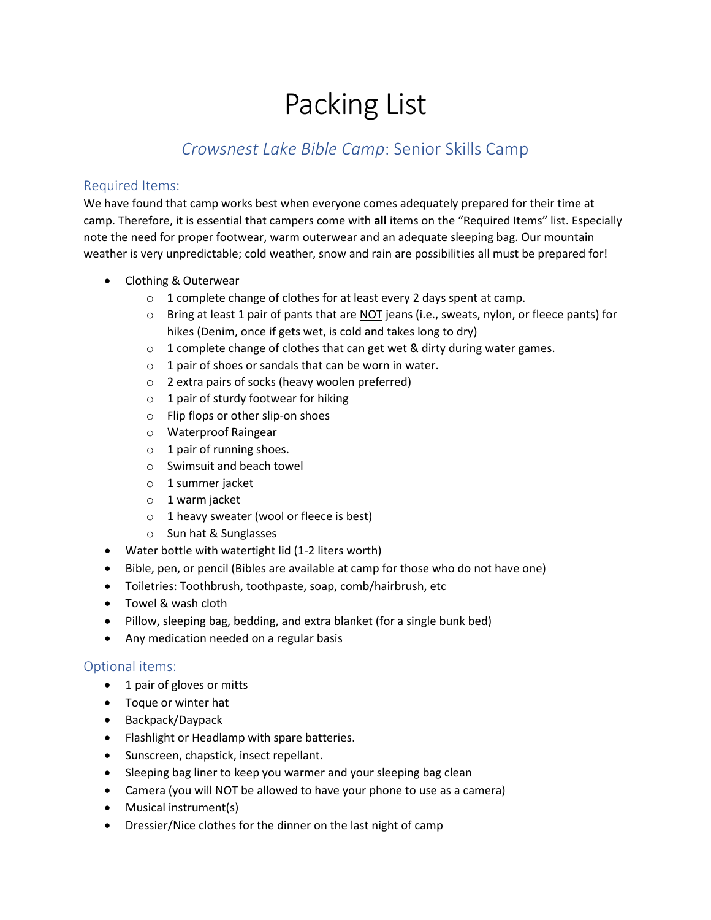# Packing List

# *Crowsnest Lake Bible Camp*: Senior Skills Camp

#### Required Items:

We have found that camp works best when everyone comes adequately prepared for their time at camp. Therefore, it is essential that campers come with **all** items on the "Required Items" list. Especially note the need for proper footwear, warm outerwear and an adequate sleeping bag. Our mountain weather is very unpredictable; cold weather, snow and rain are possibilities all must be prepared for!

- Clothing & Outerwear
	- o 1 complete change of clothes for at least every 2 days spent at camp.
	- o Bring at least 1 pair of pants that are NOT jeans (i.e., sweats, nylon, or fleece pants) for hikes (Denim, once if gets wet, is cold and takes long to dry)
	- o 1 complete change of clothes that can get wet & dirty during water games.
	- $\circ$  1 pair of shoes or sandals that can be worn in water.
	- o 2 extra pairs of socks (heavy woolen preferred)
	- $\circ$  1 pair of sturdy footwear for hiking
	- o Flip flops or other slip-on shoes
	- o Waterproof Raingear
	- $\circ$  1 pair of running shoes.
	- o Swimsuit and beach towel
	- o 1 summer jacket
	- o 1 warm jacket
	- $\circ$  1 heavy sweater (wool or fleece is best)
	- o Sun hat & Sunglasses
- Water bottle with watertight lid (1-2 liters worth)
- Bible, pen, or pencil (Bibles are available at camp for those who do not have one)
- Toiletries: Toothbrush, toothpaste, soap, comb/hairbrush, etc
- Towel & wash cloth
- Pillow, sleeping bag, bedding, and extra blanket (for a single bunk bed)
- Any medication needed on a regular basis

## Optional items:

- 1 pair of gloves or mitts
- Toque or winter hat
- Backpack/Daypack
- Flashlight or Headlamp with spare batteries.
- Sunscreen, chapstick, insect repellant.
- Sleeping bag liner to keep you warmer and your sleeping bag clean
- Camera (you will NOT be allowed to have your phone to use as a camera)
- Musical instrument(s)
- Dressier/Nice clothes for the dinner on the last night of camp